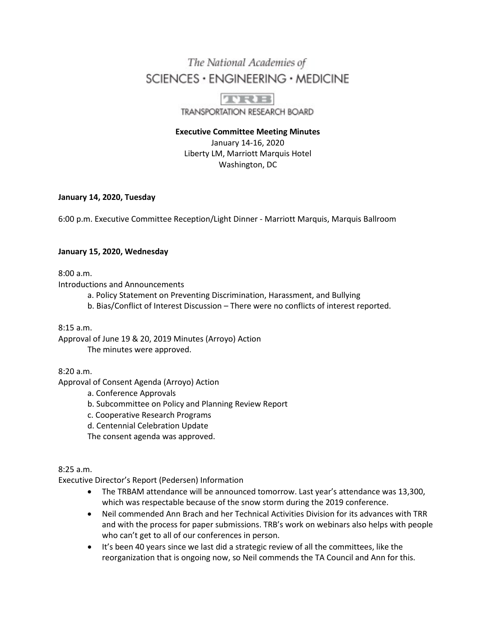# The National Academies of SCIENCES · ENGINEERING · MEDICINE

TRE TRANSPORTATION RESEARCH BOARD

**Executive Committee Meeting Minutes** January 14-16, 2020 Liberty LM, Marriott Marquis Hotel Washington, DC

## **January 14, 2020, Tuesday**

6:00 p.m. Executive Committee Reception/Light Dinner - Marriott Marquis, Marquis Ballroom

## **January 15, 2020, Wednesday**

8:00 a.m.

Introductions and Announcements

- a. Policy Statement on Preventing Discrimination, Harassment, and Bullying
- b. Bias/Conflict of Interest Discussion There were no conflicts of interest reported.

8:15 a.m.

Approval of June 19 & 20, 2019 Minutes (Arroyo) Action The minutes were approved.

8:20 a.m.

Approval of Consent Agenda (Arroyo) Action

a. Conference Approvals

- b. Subcommittee on Policy and Planning Review Report
- c. Cooperative Research Programs
- d. Centennial Celebration Update

The consent agenda was approved.

8:25 a.m.

Executive Director's Report (Pedersen) Information

- The TRBAM attendance will be announced tomorrow. Last year's attendance was 13,300, which was respectable because of the snow storm during the 2019 conference.
- Neil commended Ann Brach and her Technical Activities Division for its advances with TRR and with the process for paper submissions. TRB's work on webinars also helps with people who can't get to all of our conferences in person.
- It's been 40 years since we last did a strategic review of all the committees, like the reorganization that is ongoing now, so Neil commends the TA Council and Ann for this.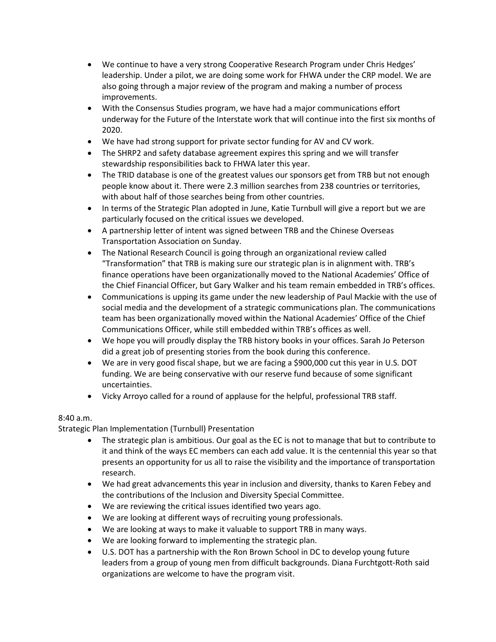- We continue to have a very strong Cooperative Research Program under Chris Hedges' leadership. Under a pilot, we are doing some work for FHWA under the CRP model. We are also going through a major review of the program and making a number of process improvements.
- With the Consensus Studies program, we have had a major communications effort underway for the Future of the Interstate work that will continue into the first six months of 2020.
- We have had strong support for private sector funding for AV and CV work.
- The SHRP2 and safety database agreement expires this spring and we will transfer stewardship responsibilities back to FHWA later this year.
- The TRID database is one of the greatest values our sponsors get from TRB but not enough people know about it. There were 2.3 million searches from 238 countries or territories, with about half of those searches being from other countries.
- In terms of the Strategic Plan adopted in June, Katie Turnbull will give a report but we are particularly focused on the critical issues we developed.
- A partnership letter of intent was signed between TRB and the Chinese Overseas Transportation Association on Sunday.
- The National Research Council is going through an organizational review called "Transformation" that TRB is making sure our strategic plan is in alignment with. TRB's finance operations have been organizationally moved to the National Academies' Office of the Chief Financial Officer, but Gary Walker and his team remain embedded in TRB's offices.
- Communications is upping its game under the new leadership of Paul Mackie with the use of social media and the development of a strategic communications plan. The communications team has been organizationally moved within the National Academies' Office of the Chief Communications Officer, while still embedded within TRB's offices as well.
- We hope you will proudly display the TRB history books in your offices. Sarah Jo Peterson did a great job of presenting stories from the book during this conference.
- We are in very good fiscal shape, but we are facing a \$900,000 cut this year in U.S. DOT funding. We are being conservative with our reserve fund because of some significant uncertainties.
- Vicky Arroyo called for a round of applause for the helpful, professional TRB staff.

# 8:40 a.m.

Strategic Plan Implementation (Turnbull) Presentation

- The strategic plan is ambitious. Our goal as the EC is not to manage that but to contribute to it and think of the ways EC members can each add value. It is the centennial this year so that presents an opportunity for us all to raise the visibility and the importance of transportation research.
- We had great advancements this year in inclusion and diversity, thanks to Karen Febey and the contributions of the Inclusion and Diversity Special Committee.
- We are reviewing the critical issues identified two years ago.
- We are looking at different ways of recruiting young professionals.
- We are looking at ways to make it valuable to support TRB in many ways.
- We are looking forward to implementing the strategic plan.
- U.S. DOT has a partnership with the Ron Brown School in DC to develop young future leaders from a group of young men from difficult backgrounds. Diana Furchtgott-Roth said organizations are welcome to have the program visit.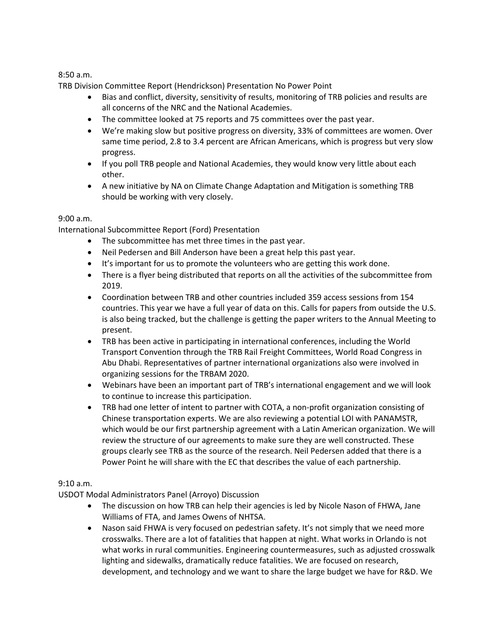8:50 a.m.

TRB Division Committee Report (Hendrickson) Presentation No Power Point

- Bias and conflict, diversity, sensitivity of results, monitoring of TRB policies and results are all concerns of the NRC and the National Academies.
- The committee looked at 75 reports and 75 committees over the past year.
- We're making slow but positive progress on diversity, 33% of committees are women. Over same time period, 2.8 to 3.4 percent are African Americans, which is progress but very slow progress.
- If you poll TRB people and National Academies, they would know very little about each other.
- A new initiative by NA on Climate Change Adaptation and Mitigation is something TRB should be working with very closely.

## 9:00 a.m.

International Subcommittee Report (Ford) Presentation

- The subcommittee has met three times in the past year.
- Neil Pedersen and Bill Anderson have been a great help this past year.
- It's important for us to promote the volunteers who are getting this work done.
- There is a flyer being distributed that reports on all the activities of the subcommittee from 2019.
- Coordination between TRB and other countries included 359 access sessions from 154 countries. This year we have a full year of data on this. Calls for papers from outside the U.S. is also being tracked, but the challenge is getting the paper writers to the Annual Meeting to present.
- TRB has been active in participating in international conferences, including the World Transport Convention through the TRB Rail Freight Committees, World Road Congress in Abu Dhabi. Representatives of partner international organizations also were involved in organizing sessions for the TRBAM 2020.
- Webinars have been an important part of TRB's international engagement and we will look to continue to increase this participation.
- TRB had one letter of intent to partner with COTA, a non-profit organization consisting of Chinese transportation experts. We are also reviewing a potential LOI with PANAMSTR, which would be our first partnership agreement with a Latin American organization. We will review the structure of our agreements to make sure they are well constructed. These groups clearly see TRB as the source of the research. Neil Pedersen added that there is a Power Point he will share with the EC that describes the value of each partnership.

## 9:10 a.m.

USDOT Modal Administrators Panel (Arroyo) Discussion

- The discussion on how TRB can help their agencies is led by Nicole Nason of FHWA, Jane Williams of FTA, and James Owens of NHTSA.
- Nason said FHWA is very focused on pedestrian safety. It's not simply that we need more crosswalks. There are a lot of fatalities that happen at night. What works in Orlando is not what works in rural communities. Engineering countermeasures, such as adjusted crosswalk lighting and sidewalks, dramatically reduce fatalities. We are focused on research, development, and technology and we want to share the large budget we have for R&D. We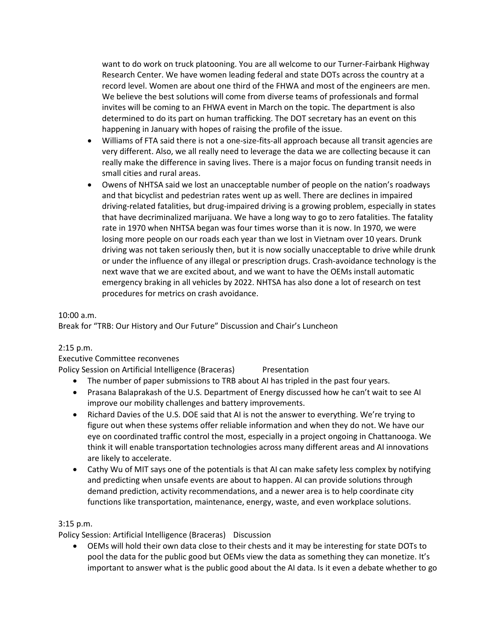want to do work on truck platooning. You are all welcome to our Turner-Fairbank Highway Research Center. We have women leading federal and state DOTs across the country at a record level. Women are about one third of the FHWA and most of the engineers are men. We believe the best solutions will come from diverse teams of professionals and formal invites will be coming to an FHWA event in March on the topic. The department is also determined to do its part on human trafficking. The DOT secretary has an event on this happening in January with hopes of raising the profile of the issue.

- Williams of FTA said there is not a one-size-fits-all approach because all transit agencies are very different. Also, we all really need to leverage the data we are collecting because it can really make the difference in saving lives. There is a major focus on funding transit needs in small cities and rural areas.
- Owens of NHTSA said we lost an unacceptable number of people on the nation's roadways and that bicyclist and pedestrian rates went up as well. There are declines in impaired driving-related fatalities, but drug-impaired driving is a growing problem, especially in states that have decriminalized marijuana. We have a long way to go to zero fatalities. The fatality rate in 1970 when NHTSA began was four times worse than it is now. In 1970, we were losing more people on our roads each year than we lost in Vietnam over 10 years. Drunk driving was not taken seriously then, but it is now socially unacceptable to drive while drunk or under the influence of any illegal or prescription drugs. Crash-avoidance technology is the next wave that we are excited about, and we want to have the OEMs install automatic emergency braking in all vehicles by 2022. NHTSA has also done a lot of research on test procedures for metrics on crash avoidance.

## 10:00 a.m.

Break for "TRB: Our History and Our Future" Discussion and Chair's Luncheon

## 2:15 p.m.

Executive Committee reconvenes

Policy Session on Artificial Intelligence (Braceras) Presentation

- The number of paper submissions to TRB about AI has tripled in the past four years.
- Prasana Balaprakash of the U.S. Department of Energy discussed how he can't wait to see AI improve our mobility challenges and battery improvements.
- Richard Davies of the U.S. DOE said that AI is not the answer to everything. We're trying to figure out when these systems offer reliable information and when they do not. We have our eye on coordinated traffic control the most, especially in a project ongoing in Chattanooga. We think it will enable transportation technologies across many different areas and AI innovations are likely to accelerate.
- Cathy Wu of MIT says one of the potentials is that AI can make safety less complex by notifying and predicting when unsafe events are about to happen. AI can provide solutions through demand prediction, activity recommendations, and a newer area is to help coordinate city functions like transportation, maintenance, energy, waste, and even workplace solutions.

## 3:15 p.m.

Policy Session: Artificial Intelligence (Braceras) Discussion

• OEMs will hold their own data close to their chests and it may be interesting for state DOTs to pool the data for the public good but OEMs view the data as something they can monetize. It's important to answer what is the public good about the AI data. Is it even a debate whether to go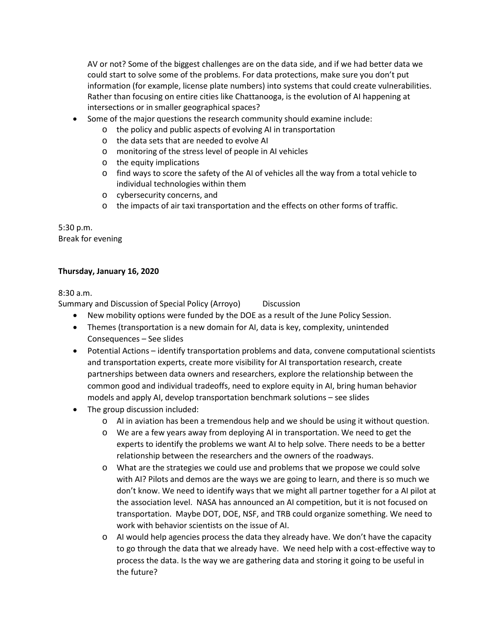AV or not? Some of the biggest challenges are on the data side, and if we had better data we could start to solve some of the problems. For data protections, make sure you don't put information (for example, license plate numbers) into systems that could create vulnerabilities. Rather than focusing on entire cities like Chattanooga, is the evolution of AI happening at intersections or in smaller geographical spaces?

- Some of the major questions the research community should examine include:
	- o the policy and public aspects of evolving AI in transportation
		- o the data sets that are needed to evolve AI
	- o monitoring of the stress level of people in AI vehicles
	- o the equity implications
	- $\circ$  find ways to score the safety of the AI of vehicles all the way from a total vehicle to individual technologies within them
	- o cybersecurity concerns, and
	- $\circ$  the impacts of air taxi transportation and the effects on other forms of traffic.

5:30 p.m. Break for evening

## **Thursday, January 16, 2020**

8:30 a.m.

Summary and Discussion of Special Policy (Arroyo) Discussion

- New mobility options were funded by the DOE as a result of the June Policy Session.
- Themes (transportation is a new domain for AI, data is key, complexity, unintended Consequences – See slides
- Potential Actions identify transportation problems and data, convene computational scientists and transportation experts, create more visibility for AI transportation research, create partnerships between data owners and researchers, explore the relationship between the common good and individual tradeoffs, need to explore equity in AI, bring human behavior models and apply AI, develop transportation benchmark solutions – see slides
- The group discussion included:
	- o AI in aviation has been a tremendous help and we should be using it without question.
	- o We are a few years away from deploying AI in transportation. We need to get the experts to identify the problems we want AI to help solve. There needs to be a better relationship between the researchers and the owners of the roadways.
	- o What are the strategies we could use and problems that we propose we could solve with AI? Pilots and demos are the ways we are going to learn, and there is so much we don't know. We need to identify ways that we might all partner together for a AI pilot at the association level. NASA has announced an AI competition, but it is not focused on transportation. Maybe DOT, DOE, NSF, and TRB could organize something. We need to work with behavior scientists on the issue of AI.
	- $\circ$  AI would help agencies process the data they already have. We don't have the capacity to go through the data that we already have. We need help with a cost-effective way to process the data. Is the way we are gathering data and storing it going to be useful in the future?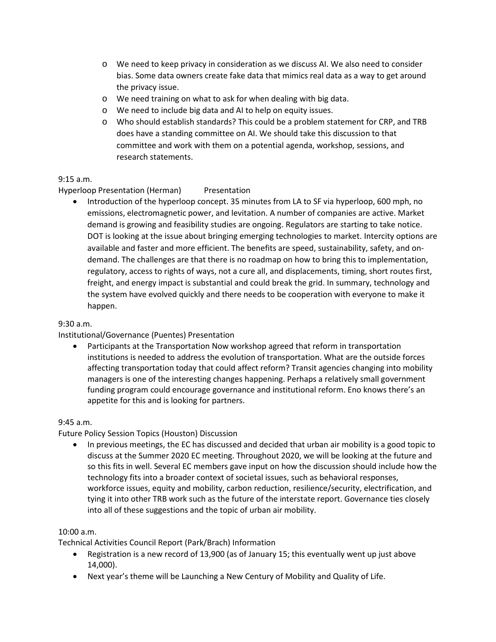- o We need to keep privacy in consideration as we discuss AI. We also need to consider bias. Some data owners create fake data that mimics real data as a way to get around the privacy issue.
- o We need training on what to ask for when dealing with big data.
- o We need to include big data and AI to help on equity issues.
- o Who should establish standards? This could be a problem statement for CRP, and TRB does have a standing committee on AI. We should take this discussion to that committee and work with them on a potential agenda, workshop, sessions, and research statements.

## 9:15 a.m.

# Hyperloop Presentation (Herman) Presentation

• Introduction of the hyperloop concept. 35 minutes from LA to SF via hyperloop, 600 mph, no emissions, electromagnetic power, and levitation. A number of companies are active. Market demand is growing and feasibility studies are ongoing. Regulators are starting to take notice. DOT is looking at the issue about bringing emerging technologies to market. Intercity options are available and faster and more efficient. The benefits are speed, sustainability, safety, and ondemand. The challenges are that there is no roadmap on how to bring this to implementation, regulatory, access to rights of ways, not a cure all, and displacements, timing, short routes first, freight, and energy impact is substantial and could break the grid. In summary, technology and the system have evolved quickly and there needs to be cooperation with everyone to make it happen.

## 9:30 a.m.

# Institutional/Governance (Puentes) Presentation

• Participants at the Transportation Now workshop agreed that reform in transportation institutions is needed to address the evolution of transportation. What are the outside forces affecting transportation today that could affect reform? Transit agencies changing into mobility managers is one of the interesting changes happening. Perhaps a relatively small government funding program could encourage governance and institutional reform. Eno knows there's an appetite for this and is looking for partners.

## 9:45 a.m.

# Future Policy Session Topics (Houston) Discussion

• In previous meetings, the EC has discussed and decided that urban air mobility is a good topic to discuss at the Summer 2020 EC meeting. Throughout 2020, we will be looking at the future and so this fits in well. Several EC members gave input on how the discussion should include how the technology fits into a broader context of societal issues, such as behavioral responses, workforce issues, equity and mobility, carbon reduction, resilience/security, electrification, and tying it into other TRB work such as the future of the interstate report. Governance ties closely into all of these suggestions and the topic of urban air mobility.

## 10:00 a.m.

Technical Activities Council Report (Park/Brach) Information

- Registration is a new record of 13,900 (as of January 15; this eventually went up just above 14,000).
- Next year's theme will be Launching a New Century of Mobility and Quality of Life.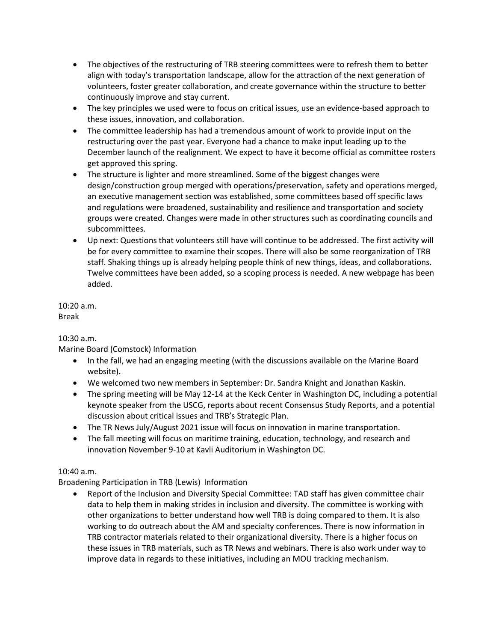- The objectives of the restructuring of TRB steering committees were to refresh them to better align with today's transportation landscape, allow for the attraction of the next generation of volunteers, foster greater collaboration, and create governance within the structure to better continuously improve and stay current.
- The key principles we used were to focus on critical issues, use an evidence-based approach to these issues, innovation, and collaboration.
- The committee leadership has had a tremendous amount of work to provide input on the restructuring over the past year. Everyone had a chance to make input leading up to the December launch of the realignment. We expect to have it become official as committee rosters get approved this spring.
- The structure is lighter and more streamlined. Some of the biggest changes were design/construction group merged with operations/preservation, safety and operations merged, an executive management section was established, some committees based off specific laws and regulations were broadened, sustainability and resilience and transportation and society groups were created. Changes were made in other structures such as coordinating councils and subcommittees.
- Up next: Questions that volunteers still have will continue to be addressed. The first activity will be for every committee to examine their scopes. There will also be some reorganization of TRB staff. Shaking things up is already helping people think of new things, ideas, and collaborations. Twelve committees have been added, so a scoping process is needed. A new webpage has been added.

10:20 a.m. Break

10:30 a.m.

Marine Board (Comstock) Information

- In the fall, we had an engaging meeting (with the discussions available on the Marine Board website).
- We welcomed two new members in September: Dr. Sandra Knight and Jonathan Kaskin.
- The spring meeting will be May 12-14 at the Keck Center in Washington DC, including a potential keynote speaker from the USCG, reports about recent Consensus Study Reports, and a potential discussion about critical issues and TRB's Strategic Plan.
- The TR News July/August 2021 issue will focus on innovation in marine transportation.
- The fall meeting will focus on maritime training, education, technology, and research and innovation November 9-10 at Kavli Auditorium in Washington DC.

# 10:40 a.m.

Broadening Participation in TRB (Lewis) Information

• Report of the Inclusion and Diversity Special Committee: TAD staff has given committee chair data to help them in making strides in inclusion and diversity. The committee is working with other organizations to better understand how well TRB is doing compared to them. It is also working to do outreach about the AM and specialty conferences. There is now information in TRB contractor materials related to their organizational diversity. There is a higher focus on these issues in TRB materials, such as TR News and webinars. There is also work under way to improve data in regards to these initiatives, including an MOU tracking mechanism.